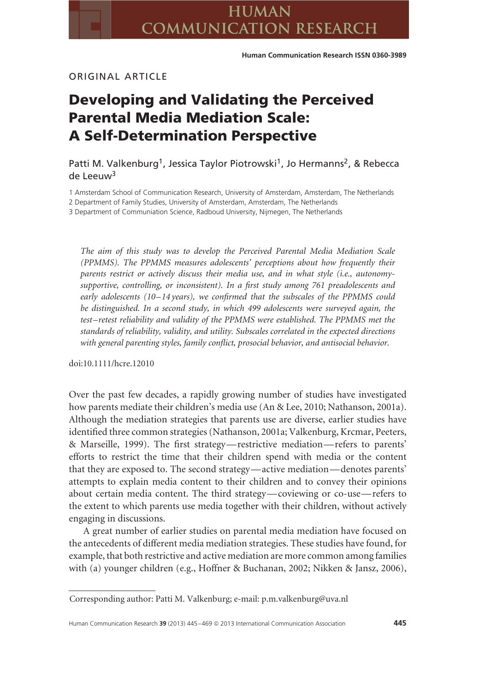# ORIGINAL ARTICLE

# **Developing and Validating the Perceived Parental Media Mediation Scale: A Self-Determination Perspective**

Patti M. Valkenburg<sup>1</sup>, Jessica Taylor Piotrowski<sup>1</sup>, Jo Hermanns<sup>2</sup>, & Rebecca de Leeuw $3$ 

1 Amsterdam School of Communication Research, University of Amsterdam, Amsterdam, The Netherlands

2 Department of Family Studies, University of Amsterdam, Amsterdam, The Netherlands

3 Department of Communiation Science, Radboud University, Nijmegen, The Netherlands

*The aim of this study was to develop the Perceived Parental Media Mediation Scale (PPMMS). The PPMMS measures adolescents' perceptions about how frequently their parents restrict or actively discuss their media use, and in what style (i.e., autonomysupportive, controlling, or inconsistent). In a first study among 761 preadolescents and early adolescents (10–14 years), we confirmed that the subscales of the PPMMS could be distinguished. In a second study, in which 499 adolescents were surveyed again, the test–retest reliability and validity of the PPMMS were established. The PPMMS met the standards of reliability, validity, and utility. Subscales correlated in the expected directions with general parenting styles, family conflict, prosocial behavior, and antisocial behavior.*

doi:10.1111/hcre.12010

Over the past few decades, a rapidly growing number of studies have investigated how parents mediate their children's media use (An & Lee, 2010; Nathanson, 2001a). Although the mediation strategies that parents use are diverse, earlier studies have identified three common strategies (Nathanson, 2001a; Valkenburg, Krcmar, Peeters, & Marseille, 1999). The first strategy—restrictive mediation—refers to parents' efforts to restrict the time that their children spend with media or the content that they are exposed to. The second strategy—active mediation—denotes parents' attempts to explain media content to their children and to convey their opinions about certain media content. The third strategy—coviewing or co-use—refers to the extent to which parents use media together with their children, without actively engaging in discussions.

A great number of earlier studies on parental media mediation have focused on the antecedents of different media mediation strategies. These studies have found, for example, that both restrictive and active mediation are more common among families with (a) younger children (e.g., Hoffner & Buchanan, 2002; Nikken & Jansz, 2006),

Corresponding author: Patti M. Valkenburg; e-mail: p.m.valkenburg@uva.nl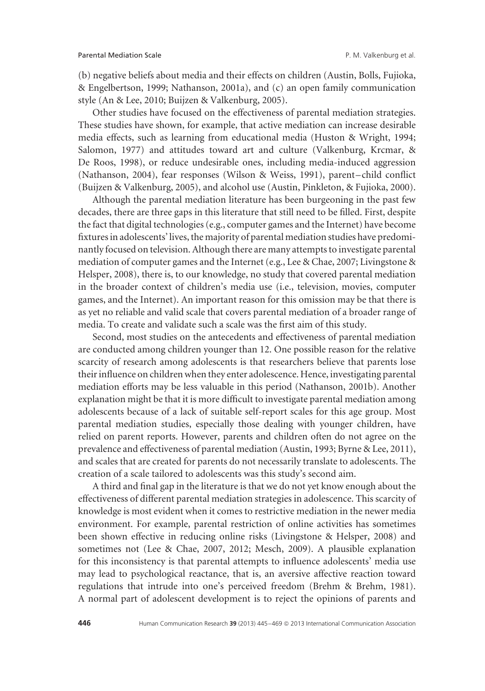(b) negative beliefs about media and their effects on children (Austin, Bolls, Fujioka, & Engelbertson, 1999; Nathanson, 2001a), and (c) an open family communication style (An & Lee, 2010; Buijzen & Valkenburg, 2005).

Other studies have focused on the effectiveness of parental mediation strategies. These studies have shown, for example, that active mediation can increase desirable media effects, such as learning from educational media (Huston & Wright, 1994; Salomon, 1977) and attitudes toward art and culture (Valkenburg, Krcmar, & De Roos, 1998), or reduce undesirable ones, including media-induced aggression (Nathanson, 2004), fear responses (Wilson & Weiss, 1991), parent–child conflict (Buijzen & Valkenburg, 2005), and alcohol use (Austin, Pinkleton, & Fujioka, 2000).

Although the parental mediation literature has been burgeoning in the past few decades, there are three gaps in this literature that still need to be filled. First, despite the fact that digital technologies (e.g., computer games and the Internet) have become fixtures in adolescents' lives, the majority of parental mediation studies have predominantly focused on television. Although there are many attempts to investigate parental mediation of computer games and the Internet (e.g., Lee & Chae, 2007; Livingstone & Helsper, 2008), there is, to our knowledge, no study that covered parental mediation in the broader context of children's media use (i.e., television, movies, computer games, and the Internet). An important reason for this omission may be that there is as yet no reliable and valid scale that covers parental mediation of a broader range of media. To create and validate such a scale was the first aim of this study.

Second, most studies on the antecedents and effectiveness of parental mediation are conducted among children younger than 12. One possible reason for the relative scarcity of research among adolescents is that researchers believe that parents lose their influence on children when they enter adolescence. Hence, investigating parental mediation efforts may be less valuable in this period (Nathanson, 2001b). Another explanation might be that it is more difficult to investigate parental mediation among adolescents because of a lack of suitable self-report scales for this age group. Most parental mediation studies, especially those dealing with younger children, have relied on parent reports. However, parents and children often do not agree on the prevalence and effectiveness of parental mediation (Austin, 1993; Byrne & Lee, 2011), and scales that are created for parents do not necessarily translate to adolescents. The creation of a scale tailored to adolescents was this study's second aim.

A third and final gap in the literature is that we do not yet know enough about the effectiveness of different parental mediation strategies in adolescence. This scarcity of knowledge is most evident when it comes to restrictive mediation in the newer media environment. For example, parental restriction of online activities has sometimes been shown effective in reducing online risks (Livingstone & Helsper, 2008) and sometimes not (Lee & Chae, 2007, 2012; Mesch, 2009). A plausible explanation for this inconsistency is that parental attempts to influence adolescents' media use may lead to psychological reactance, that is, an aversive affective reaction toward regulations that intrude into one's perceived freedom (Brehm & Brehm, 1981). A normal part of adolescent development is to reject the opinions of parents and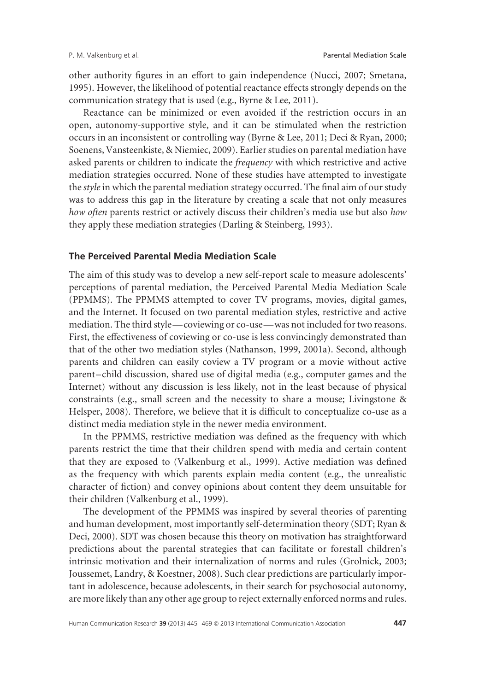other authority figures in an effort to gain independence (Nucci, 2007; Smetana, 1995). However, the likelihood of potential reactance effects strongly depends on the communication strategy that is used (e.g., Byrne & Lee, 2011).

Reactance can be minimized or even avoided if the restriction occurs in an open, autonomy-supportive style, and it can be stimulated when the restriction occurs in an inconsistent or controlling way (Byrne & Lee, 2011; Deci & Ryan, 2000; Soenens, Vansteenkiste, & Niemiec, 2009). Earlier studies on parental mediation have asked parents or children to indicate the *frequency* with which restrictive and active mediation strategies occurred. None of these studies have attempted to investigate the *style*in which the parental mediation strategy occurred. The final aim of our study was to address this gap in the literature by creating a scale that not only measures *how often* parents restrict or actively discuss their children's media use but also *how* they apply these mediation strategies (Darling & Steinberg, 1993).

#### **The Perceived Parental Media Mediation Scale**

The aim of this study was to develop a new self-report scale to measure adolescents' perceptions of parental mediation, the Perceived Parental Media Mediation Scale (PPMMS). The PPMMS attempted to cover TV programs, movies, digital games, and the Internet. It focused on two parental mediation styles, restrictive and active mediation. The third style—coviewing or co-use—was not included for two reasons. First, the effectiveness of coviewing or co-use is less convincingly demonstrated than that of the other two mediation styles (Nathanson, 1999, 2001a). Second, although parents and children can easily coview a TV program or a movie without active parent–child discussion, shared use of digital media (e.g., computer games and the Internet) without any discussion is less likely, not in the least because of physical constraints (e.g., small screen and the necessity to share a mouse; Livingstone & Helsper, 2008). Therefore, we believe that it is difficult to conceptualize co-use as a distinct media mediation style in the newer media environment.

In the PPMMS, restrictive mediation was defined as the frequency with which parents restrict the time that their children spend with media and certain content that they are exposed to (Valkenburg et al., 1999). Active mediation was defined as the frequency with which parents explain media content (e.g., the unrealistic character of fiction) and convey opinions about content they deem unsuitable for their children (Valkenburg et al., 1999).

The development of the PPMMS was inspired by several theories of parenting and human development, most importantly self-determination theory (SDT; Ryan & Deci, 2000). SDT was chosen because this theory on motivation has straightforward predictions about the parental strategies that can facilitate or forestall children's intrinsic motivation and their internalization of norms and rules (Grolnick, 2003; Joussemet, Landry, & Koestner, 2008). Such clear predictions are particularly important in adolescence, because adolescents, in their search for psychosocial autonomy, are more likely than any other age group to reject externally enforced norms and rules.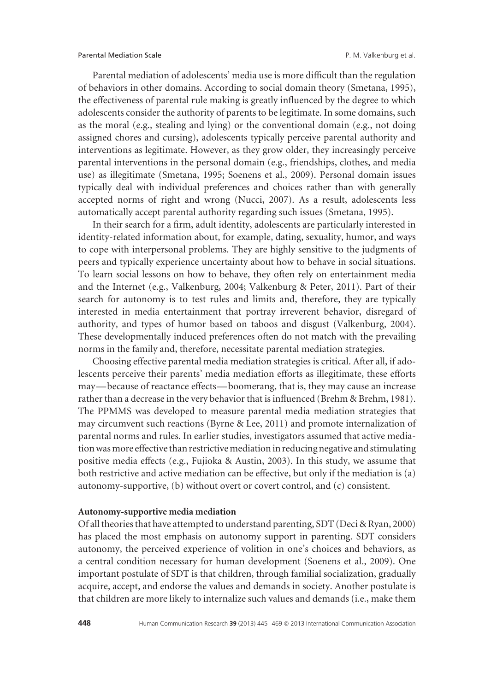Parental mediation of adolescents' media use is more difficult than the regulation of behaviors in other domains. According to social domain theory (Smetana, 1995), the effectiveness of parental rule making is greatly influenced by the degree to which adolescents consider the authority of parents to be legitimate. In some domains, such as the moral (e.g., stealing and lying) or the conventional domain (e.g., not doing assigned chores and cursing), adolescents typically perceive parental authority and interventions as legitimate. However, as they grow older, they increasingly perceive parental interventions in the personal domain (e.g., friendships, clothes, and media use) as illegitimate (Smetana, 1995; Soenens et al., 2009). Personal domain issues typically deal with individual preferences and choices rather than with generally accepted norms of right and wrong (Nucci, 2007). As a result, adolescents less automatically accept parental authority regarding such issues (Smetana, 1995).

In their search for a firm, adult identity, adolescents are particularly interested in identity-related information about, for example, dating, sexuality, humor, and ways to cope with interpersonal problems. They are highly sensitive to the judgments of peers and typically experience uncertainty about how to behave in social situations. To learn social lessons on how to behave, they often rely on entertainment media and the Internet (e.g., Valkenburg, 2004; Valkenburg & Peter, 2011). Part of their search for autonomy is to test rules and limits and, therefore, they are typically interested in media entertainment that portray irreverent behavior, disregard of authority, and types of humor based on taboos and disgust (Valkenburg, 2004). These developmentally induced preferences often do not match with the prevailing norms in the family and, therefore, necessitate parental mediation strategies.

Choosing effective parental media mediation strategies is critical. After all, if adolescents perceive their parents' media mediation efforts as illegitimate, these efforts may—because of reactance effects—boomerang, that is, they may cause an increase rather than a decrease in the very behavior that is influenced (Brehm & Brehm, 1981). The PPMMS was developed to measure parental media mediation strategies that may circumvent such reactions (Byrne & Lee, 2011) and promote internalization of parental norms and rules. In earlier studies, investigators assumed that active mediation was more effective than restrictive mediation in reducing negative and stimulating positive media effects (e.g., Fujioka & Austin, 2003). In this study, we assume that both restrictive and active mediation can be effective, but only if the mediation is (a) autonomy-supportive, (b) without overt or covert control, and (c) consistent.

#### **Autonomy-supportive media mediation**

Of all theories that have attempted to understand parenting, SDT (Deci & Ryan, 2000) has placed the most emphasis on autonomy support in parenting. SDT considers autonomy, the perceived experience of volition in one's choices and behaviors, as a central condition necessary for human development (Soenens et al., 2009). One important postulate of SDT is that children, through familial socialization, gradually acquire, accept, and endorse the values and demands in society. Another postulate is that children are more likely to internalize such values and demands (i.e., make them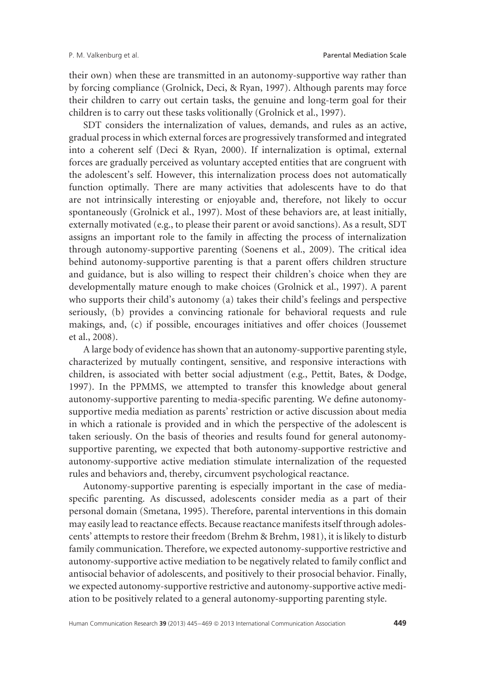their own) when these are transmitted in an autonomy-supportive way rather than by forcing compliance (Grolnick, Deci, & Ryan, 1997). Although parents may force their children to carry out certain tasks, the genuine and long-term goal for their children is to carry out these tasks volitionally (Grolnick et al., 1997).

SDT considers the internalization of values, demands, and rules as an active, gradual process in which external forces are progressively transformed and integrated into a coherent self (Deci & Ryan, 2000). If internalization is optimal, external forces are gradually perceived as voluntary accepted entities that are congruent with the adolescent's self. However, this internalization process does not automatically function optimally. There are many activities that adolescents have to do that are not intrinsically interesting or enjoyable and, therefore, not likely to occur spontaneously (Grolnick et al., 1997). Most of these behaviors are, at least initially, externally motivated (e.g., to please their parent or avoid sanctions). As a result, SDT assigns an important role to the family in affecting the process of internalization through autonomy-supportive parenting (Soenens et al., 2009). The critical idea behind autonomy-supportive parenting is that a parent offers children structure and guidance, but is also willing to respect their children's choice when they are developmentally mature enough to make choices (Grolnick et al., 1997). A parent who supports their child's autonomy (a) takes their child's feelings and perspective seriously, (b) provides a convincing rationale for behavioral requests and rule makings, and, (c) if possible, encourages initiatives and offer choices (Joussemet et al., 2008).

A large body of evidence has shown that an autonomy-supportive parenting style, characterized by mutually contingent, sensitive, and responsive interactions with children, is associated with better social adjustment (e.g., Pettit, Bates, & Dodge, 1997). In the PPMMS, we attempted to transfer this knowledge about general autonomy-supportive parenting to media-specific parenting. We define autonomysupportive media mediation as parents' restriction or active discussion about media in which a rationale is provided and in which the perspective of the adolescent is taken seriously. On the basis of theories and results found for general autonomysupportive parenting, we expected that both autonomy-supportive restrictive and autonomy-supportive active mediation stimulate internalization of the requested rules and behaviors and, thereby, circumvent psychological reactance.

Autonomy-supportive parenting is especially important in the case of mediaspecific parenting. As discussed, adolescents consider media as a part of their personal domain (Smetana, 1995). Therefore, parental interventions in this domain may easily lead to reactance effects. Because reactance manifests itself through adolescents' attempts to restore their freedom (Brehm & Brehm, 1981), it is likely to disturb family communication. Therefore, we expected autonomy-supportive restrictive and autonomy-supportive active mediation to be negatively related to family conflict and antisocial behavior of adolescents, and positively to their prosocial behavior. Finally, we expected autonomy-supportive restrictive and autonomy-supportive active mediation to be positively related to a general autonomy-supporting parenting style.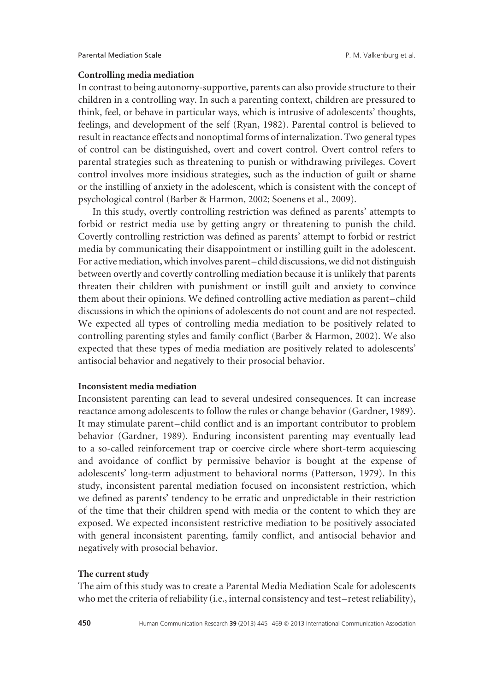#### **Controlling media mediation**

In contrast to being autonomy-supportive, parents can also provide structure to their children in a controlling way. In such a parenting context, children are pressured to think, feel, or behave in particular ways, which is intrusive of adolescents' thoughts, feelings, and development of the self (Ryan, 1982). Parental control is believed to result in reactance effects and nonoptimal forms of internalization. Two general types of control can be distinguished, overt and covert control. Overt control refers to parental strategies such as threatening to punish or withdrawing privileges. Covert control involves more insidious strategies, such as the induction of guilt or shame or the instilling of anxiety in the adolescent, which is consistent with the concept of psychological control (Barber & Harmon, 2002; Soenens et al., 2009).

In this study, overtly controlling restriction was defined as parents' attempts to forbid or restrict media use by getting angry or threatening to punish the child. Covertly controlling restriction was defined as parents' attempt to forbid or restrict media by communicating their disappointment or instilling guilt in the adolescent. For active mediation, which involves parent–child discussions, we did not distinguish between overtly and covertly controlling mediation because it is unlikely that parents threaten their children with punishment or instill guilt and anxiety to convince them about their opinions. We defined controlling active mediation as parent–child discussions in which the opinions of adolescents do not count and are not respected. We expected all types of controlling media mediation to be positively related to controlling parenting styles and family conflict (Barber & Harmon, 2002). We also expected that these types of media mediation are positively related to adolescents' antisocial behavior and negatively to their prosocial behavior.

#### **Inconsistent media mediation**

Inconsistent parenting can lead to several undesired consequences. It can increase reactance among adolescents to follow the rules or change behavior (Gardner, 1989). It may stimulate parent–child conflict and is an important contributor to problem behavior (Gardner, 1989). Enduring inconsistent parenting may eventually lead to a so-called reinforcement trap or coercive circle where short-term acquiescing and avoidance of conflict by permissive behavior is bought at the expense of adolescents' long-term adjustment to behavioral norms (Patterson, 1979). In this study, inconsistent parental mediation focused on inconsistent restriction, which we defined as parents' tendency to be erratic and unpredictable in their restriction of the time that their children spend with media or the content to which they are exposed. We expected inconsistent restrictive mediation to be positively associated with general inconsistent parenting, family conflict, and antisocial behavior and negatively with prosocial behavior.

#### **The current study**

The aim of this study was to create a Parental Media Mediation Scale for adolescents who met the criteria of reliability (i.e., internal consistency and test–retest reliability),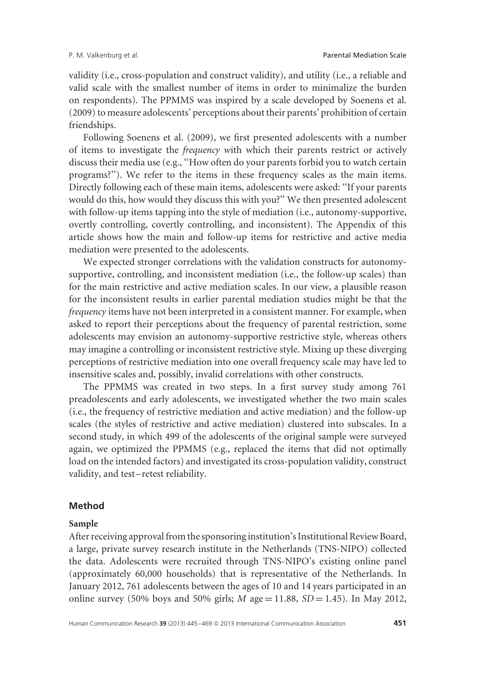validity (i.e., cross-population and construct validity), and utility (i.e., a reliable and valid scale with the smallest number of items in order to minimalize the burden on respondents). The PPMMS was inspired by a scale developed by Soenens et al. (2009) to measure adolescents' perceptions about their parents' prohibition of certain friendships.

Following Soenens et al. (2009), we first presented adolescents with a number of items to investigate the *frequency w*ith which their parents restrict or actively discuss their media use (e.g., ''How often do your parents forbid you to watch certain programs?''). We refer to the items in these frequency scales as the main items. Directly following each of these main items, adolescents were asked: ''If your parents would do this, how would they discuss this with you?'' We then presented adolescent with follow-up items tapping into the style of mediation (i.e., autonomy-supportive, overtly controlling, covertly controlling, and inconsistent). The Appendix of this article shows how the main and follow-up items for restrictive and active media mediation were presented to the adolescents.

We expected stronger correlations with the validation constructs for autonomysupportive, controlling, and inconsistent mediation (i.e., the follow-up scales) than for the main restrictive and active mediation scales. In our view, a plausible reason for the inconsistent results in earlier parental mediation studies might be that the *frequency* items have not been interpreted in a consistent manner. For example, when asked to report their perceptions about the frequency of parental restriction, some adolescents may envision an autonomy-supportive restrictive style, whereas others may imagine a controlling or inconsistent restrictive style. Mixing up these diverging perceptions of restrictive mediation into one overall frequency scale may have led to insensitive scales and, possibly, invalid correlations with other constructs.

The PPMMS was created in two steps. In a first survey study among 761 preadolescents and early adolescents, we investigated whether the two main scales (i.e., the frequency of restrictive mediation and active mediation) and the follow-up scales (the styles of restrictive and active mediation) clustered into subscales. In a second study, in which 499 of the adolescents of the original sample were surveyed again, we optimized the PPMMS (e.g., replaced the items that did not optimally load on the intended factors) and investigated its cross-population validity, construct validity, and test–retest reliability.

### **Method**

#### **Sample**

After receiving approval from the sponsoring institution's Institutional Review Board, a large, private survey research institute in the Netherlands (TNS-NIPO) collected the data. Adolescents were recruited through TNS-NIPO's existing online panel (approximately 60,000 households) that is representative of the Netherlands. In January 2012, 761 adolescents between the ages of 10 and 14 years participated in an online survey (50% boys and 50% girls; *M* age = 11.88, *SD* = 1.45). In May 2012,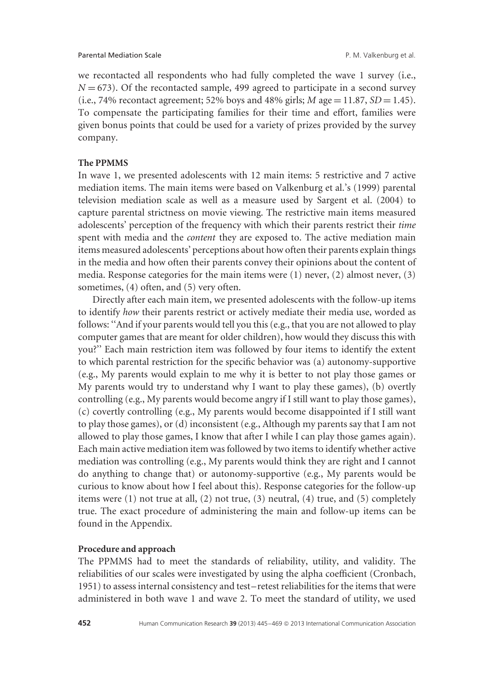we recontacted all respondents who had fully completed the wave 1 survey (i.e.,  $N = 673$ ). Of the recontacted sample, 499 agreed to participate in a second survey (i.e., 74% recontact agreement; 52% boys and 48% girls; *M* age = 11.87, *SD* = 1.45). To compensate the participating families for their time and effort, families were given bonus points that could be used for a variety of prizes provided by the survey company.

#### **The PPMMS**

In wave 1, we presented adolescents with 12 main items: 5 restrictive and 7 active mediation items. The main items were based on Valkenburg et al.'s (1999) parental television mediation scale as well as a measure used by Sargent et al. (2004) to capture parental strictness on movie viewing. The restrictive main items measured adolescents' perception of the frequency with which their parents restrict their *time* spent with media and the *content* they are exposed to. The active mediation main items measured adolescents' perceptions about how often their parents explain things in the media and how often their parents convey their opinions about the content of media. Response categories for the main items were (1) never, (2) almost never, (3) sometimes, (4) often, and (5) very often.

Directly after each main item, we presented adolescents with the follow-up items to identify *how* their parents restrict or actively mediate their media use, worded as follows: ''And if your parents would tell you this (e.g., that you are not allowed to play computer games that are meant for older children), how would they discuss this with you?'' Each main restriction item was followed by four items to identify the extent to which parental restriction for the specific behavior was (a) autonomy-supportive (e.g., My parents would explain to me why it is better to not play those games or My parents would try to understand why I want to play these games), (b) overtly controlling (e.g., My parents would become angry if I still want to play those games), (c) covertly controlling (e.g., My parents would become disappointed if I still want to play those games), or (d) inconsistent (e.g., Although my parents say that I am not allowed to play those games, I know that after I while I can play those games again). Each main active mediation item was followed by two items to identify whether active mediation was controlling (e.g., My parents would think they are right and I cannot do anything to change that) or autonomy-supportive (e.g., My parents would be curious to know about how I feel about this). Response categories for the follow-up items were (1) not true at all, (2) not true, (3) neutral, (4) true, and (5) completely true. The exact procedure of administering the main and follow-up items can be found in the Appendix.

#### **Procedure and approach**

The PPMMS had to meet the standards of reliability, utility, and validity. The reliabilities of our scales were investigated by using the alpha coefficient (Cronbach, 1951) to assess internal consistency and test–retest reliabilities for the items that were administered in both wave 1 and wave 2. To meet the standard of utility, we used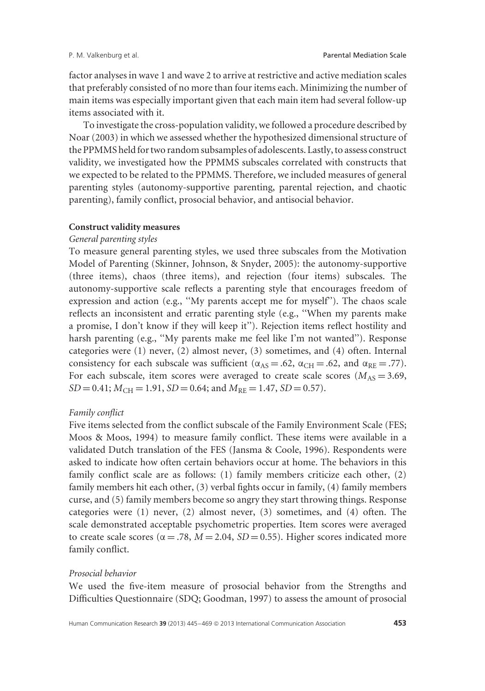factor analyses in wave 1 and wave 2 to arrive at restrictive and active mediation scales that preferably consisted of no more than four items each. Minimizing the number of main items was especially important given that each main item had several follow-up items associated with it.

To investigate the cross-population validity, we followed a procedure described by Noar (2003) in which we assessed whether the hypothesized dimensional structure of the PPMMS held for two random subsamples of adolescents. Lastly, to assess construct validity, we investigated how the PPMMS subscales correlated with constructs that we expected to be related to the PPMMS. Therefore, we included measures of general parenting styles (autonomy-supportive parenting, parental rejection, and chaotic parenting), family conflict, prosocial behavior, and antisocial behavior.

#### **Construct validity measures**

#### *General parenting styles*

To measure general parenting styles, we used three subscales from the Motivation Model of Parenting (Skinner, Johnson, & Snyder, 2005): the autonomy-supportive (three items), chaos (three items), and rejection (four items) subscales. The autonomy-supportive scale reflects a parenting style that encourages freedom of expression and action (e.g., ''My parents accept me for myself''). The chaos scale reflects an inconsistent and erratic parenting style (e.g., ''When my parents make a promise, I don't know if they will keep it''). Rejection items reflect hostility and harsh parenting (e.g., "My parents make me feel like I'm not wanted"). Response categories were (1) never, (2) almost never, (3) sometimes, and (4) often. Internal consistency for each subscale was sufficient ( $\alpha_{AS} = .62$ ,  $\alpha_{CH} = .62$ , and  $\alpha_{RE} = .77$ ). For each subscale, item scores were averaged to create scale scores  $(M_{AS} = 3.69,$  $SD = 0.41$ ;  $M<sub>CH</sub> = 1.91$ ,  $SD = 0.64$ ; and  $M<sub>RE</sub> = 1.47$ ,  $SD = 0.57$ ).

#### *Family conflict*

Five items selected from the conflict subscale of the Family Environment Scale (FES; Moos & Moos, 1994) to measure family conflict. These items were available in a validated Dutch translation of the FES (Jansma & Coole, 1996). Respondents were asked to indicate how often certain behaviors occur at home. The behaviors in this family conflict scale are as follows: (1) family members criticize each other, (2) family members hit each other, (3) verbal fights occur in family, (4) family members curse, and (5) family members become so angry they start throwing things. Response categories were (1) never, (2) almost never, (3) sometimes, and (4) often. The scale demonstrated acceptable psychometric properties. Item scores were averaged to create scale scores ( $\alpha = .78$ ,  $M = 2.04$ ,  $SD = 0.55$ ). Higher scores indicated more family conflict.

#### *Prosocial behavior*

We used the five-item measure of prosocial behavior from the Strengths and Difficulties Questionnaire (SDQ; Goodman, 1997) to assess the amount of prosocial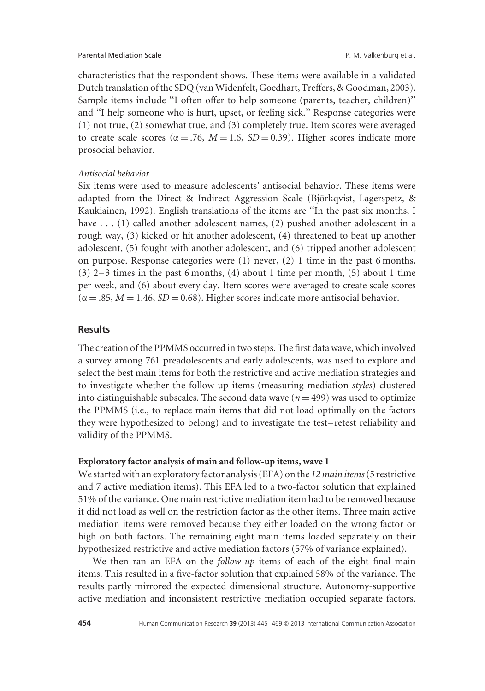characteristics that the respondent shows. These items were available in a validated Dutch translation of the SDQ (van Widenfelt, Goedhart, Treffers, & Goodman, 2003). Sample items include ''I often offer to help someone (parents, teacher, children)'' and ''I help someone who is hurt, upset, or feeling sick.'' Response categories were (1) not true, (2) somewhat true, and (3) completely true. Item scores were averaged to create scale scores ( $\alpha = .76$ ,  $M = 1.6$ ,  $SD = 0.39$ ). Higher scores indicate more prosocial behavior.

#### *Antisocial behavior*

Six items were used to measure adolescents' antisocial behavior. These items were adapted from the Direct & Indirect Aggression Scale (Björkqvist, Lagerspetz, & Kaukiainen, 1992). English translations of the items are ''In the past six months, I have . . . (1) called another adolescent names, (2) pushed another adolescent in a rough way, (3) kicked or hit another adolescent, (4) threatened to beat up another adolescent, (5) fought with another adolescent, and (6) tripped another adolescent on purpose. Response categories were  $(1)$  never,  $(2)$  1 time in the past 6 months,  $(3)$  2–3 times in the past 6 months,  $(4)$  about 1 time per month,  $(5)$  about 1 time per week, and (6) about every day. Item scores were averaged to create scale scores  $(\alpha = .85, M = 1.46, SD = 0.68)$ . Higher scores indicate more antisocial behavior.

### **Results**

The creation of the PPMMS occurred in two steps. The first data wave, which involved a survey among 761 preadolescents and early adolescents, was used to explore and select the best main items for both the restrictive and active mediation strategies and to investigate whether the follow-up items (measuring mediation *styles*) clustered into distinguishable subscales. The second data wave  $(n = 499)$  was used to optimize the PPMMS (i.e., to replace main items that did not load optimally on the factors they were hypothesized to belong) and to investigate the test–retest reliability and validity of the PPMMS.

#### **Exploratory factor analysis of main and follow-up items, wave 1**

We started with an exploratory factor analysis (EFA) on the *12 main items*(5 restrictive and 7 active mediation items). This EFA led to a two-factor solution that explained 51% of the variance. One main restrictive mediation item had to be removed because it did not load as well on the restriction factor as the other items. Three main active mediation items were removed because they either loaded on the wrong factor or high on both factors. The remaining eight main items loaded separately on their hypothesized restrictive and active mediation factors (57% of variance explained).

We then ran an EFA on the *follow-up* items of each of the eight final main items. This resulted in a five-factor solution that explained 58% of the variance. The results partly mirrored the expected dimensional structure. Autonomy-supportive active mediation and inconsistent restrictive mediation occupied separate factors.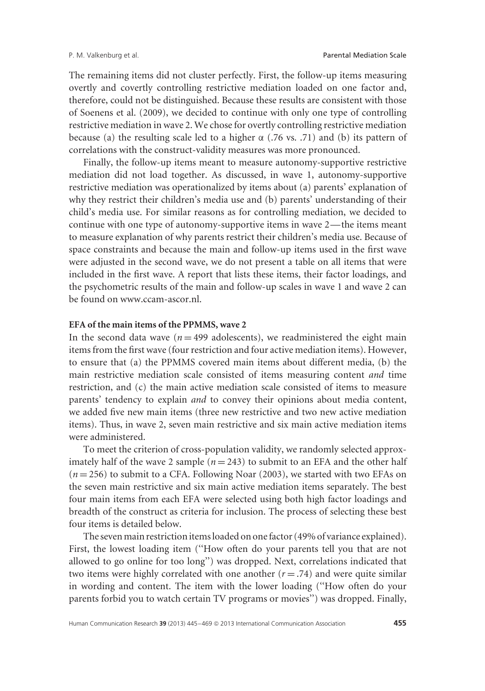The remaining items did not cluster perfectly. First, the follow-up items measuring overtly and covertly controlling restrictive mediation loaded on one factor and, therefore, could not be distinguished. Because these results are consistent with those of Soenens et al. (2009), we decided to continue with only one type of controlling restrictive mediation in wave 2. We chose for overtly controlling restrictive mediation because (a) the resulting scale led to a higher  $\alpha$  (.76 vs. .71) and (b) its pattern of correlations with the construct-validity measures was more pronounced.

Finally, the follow-up items meant to measure autonomy-supportive restrictive mediation did not load together. As discussed, in wave 1, autonomy-supportive restrictive mediation was operationalized by items about (a) parents' explanation of why they restrict their children's media use and (b) parents' understanding of their child's media use. For similar reasons as for controlling mediation, we decided to continue with one type of autonomy-supportive items in wave 2—the items meant to measure explanation of why parents restrict their children's media use. Because of space constraints and because the main and follow-up items used in the first wave were adjusted in the second wave, we do not present a table on all items that were included in the first wave. A report that lists these items, their factor loadings, and the psychometric results of the main and follow-up scales in wave 1 and wave 2 can be found on www.ccam-ascor.nl.

#### **EFA of the main items of the PPMMS, wave 2**

In the second data wave  $(n = 499 \text{ adolescents})$ , we readministered the eight main items from the first wave (four restriction and four active mediation items). However, to ensure that (a) the PPMMS covered main items about different media, (b) the main restrictive mediation scale consisted of items measuring content *and* time restriction, and (c) the main active mediation scale consisted of items to measure parents' tendency to explain *and* to convey their opinions about media content, we added five new main items (three new restrictive and two new active mediation items). Thus, in wave 2, seven main restrictive and six main active mediation items were administered.

To meet the criterion of cross-population validity, we randomly selected approximately half of the wave 2 sample  $(n = 243)$  to submit to an EFA and the other half (*n* = 256) to submit to a CFA. Following Noar (2003), we started with two EFAs on the seven main restrictive and six main active mediation items separately. The best four main items from each EFA were selected using both high factor loadings and breadth of the construct as criteria for inclusion. The process of selecting these best four items is detailed below.

The seven main restriction items loaded on one factor (49% of variance explained). First, the lowest loading item (''How often do your parents tell you that are not allowed to go online for too long'') was dropped. Next, correlations indicated that two items were highly correlated with one another  $(r = .74)$  and were quite similar in wording and content. The item with the lower loading (''How often do your parents forbid you to watch certain TV programs or movies'') was dropped. Finally,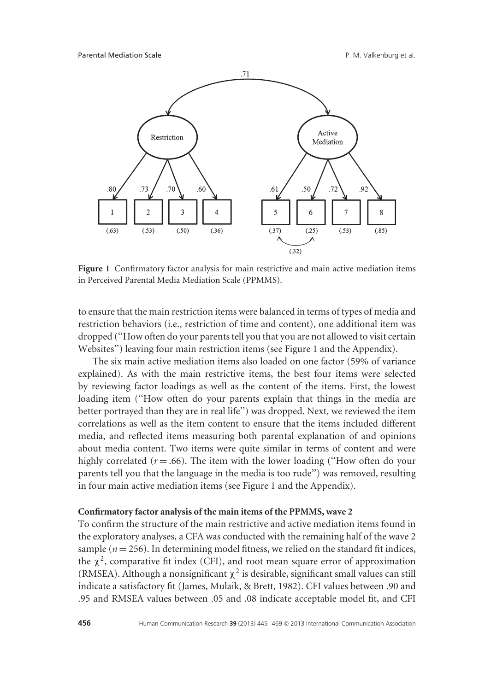

**Figure 1** Confirmatory factor analysis for main restrictive and main active mediation items in Perceived Parental Media Mediation Scale (PPMMS).

to ensure that the main restriction items were balanced in terms of types of media and restriction behaviors (i.e., restriction of time and content), one additional item was dropped (''How often do your parents tell you that you are not allowed to visit certain Websites'') leaving four main restriction items (see Figure 1 and the Appendix).

The six main active mediation items also loaded on one factor (59% of variance explained). As with the main restrictive items, the best four items were selected by reviewing factor loadings as well as the content of the items. First, the lowest loading item (''How often do your parents explain that things in the media are better portrayed than they are in real life'') was dropped. Next, we reviewed the item correlations as well as the item content to ensure that the items included different media, and reflected items measuring both parental explanation of and opinions about media content. Two items were quite similar in terms of content and were highly correlated  $(r = .66)$ . The item with the lower loading ("How often do your parents tell you that the language in the media is too rude'') was removed, resulting in four main active mediation items (see Figure 1 and the Appendix).

#### **Confirmatory factor analysis of the main items of the PPMMS, wave 2**

To confirm the structure of the main restrictive and active mediation items found in the exploratory analyses, a CFA was conducted with the remaining half of the wave 2 sample ( $n = 256$ ). In determining model fitness, we relied on the standard fit indices, the  $\chi^2$ , comparative fit index (CFI), and root mean square error of approximation (RMSEA). Although a nonsignificant  $\chi^2$  is desirable, significant small values can still indicate a satisfactory fit (James, Mulaik, & Brett, 1982). CFI values between .90 and .95 and RMSEA values between .05 and .08 indicate acceptable model fit, and CFI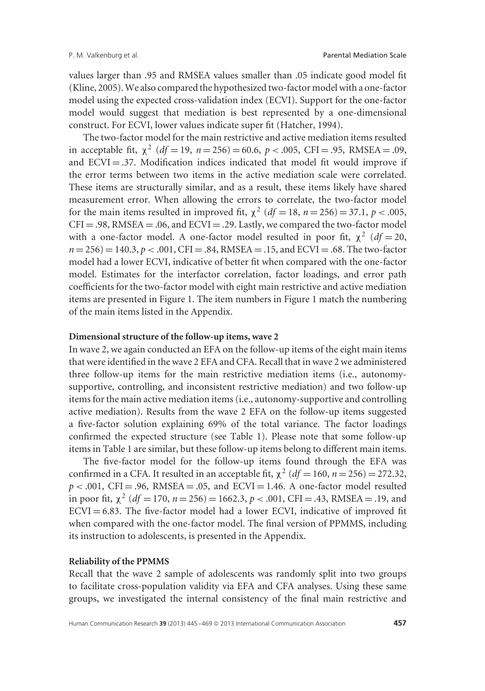values larger than .95 and RMSEA values smaller than .05 indicate good model fit (Kline, 2005). We also compared the hypothesized two-factor model with a one-factor model using the expected cross-validation index (ECVI). Support for the one-factor model would suggest that mediation is best represented by a one-dimensional construct. For ECVI, lower values indicate super fit (Hatcher, 1994).

The two-factor model for the main restrictive and active mediation items resulted in acceptable fit,  $\chi^2$  ( $df = 19$ ,  $n = 256$ ) = 60.6,  $p < .005$ , CFI = .95, RMSEA = .09, and  $ECVI = .37$ . Modification indices indicated that model fit would improve if the error terms between two items in the active mediation scale were correlated. These items are structurally similar, and as a result, these items likely have shared measurement error. When allowing the errors to correlate, the two-factor model for the main items resulted in improved fit,  $\chi^2$  ( $df = 18$ ,  $n = 256$ ) = 37.1,  $p < .005$ ,  $CFI = .98$ , RMSEA = .06, and  $ECVI = .29$ . Lastly, we compared the two-factor model with a one-factor model. A one-factor model resulted in poor fit,  $\chi^2$  ( $df = 20$ ,  $n = 256$ ) = 140.3,  $p < .001$ , CFI = .84, RMSEA = .15, and ECVI = .68. The two-factor model had a lower ECVI, indicative of better fit when compared with the one-factor model. Estimates for the interfactor correlation, factor loadings, and error path coefficients for the two-factor model with eight main restrictive and active mediation items are presented in Figure 1. The item numbers in Figure 1 match the numbering of the main items listed in the Appendix.

#### **Dimensional structure of the follow-up items, wave 2**

In wave 2, we again conducted an EFA on the follow-up items of the eight main items that were identified in the wave 2 EFA and CFA. Recall that in wave 2 we administered three follow-up items for the main restrictive mediation items (i.e., autonomysupportive, controlling, and inconsistent restrictive mediation) and two follow-up items for the main active mediation items (i.e., autonomy-supportive and controlling active mediation). Results from the wave 2 EFA on the follow-up items suggested a five-factor solution explaining 69% of the total variance. The factor loadings confirmed the expected structure (see Table 1). Please note that some follow-up items in Table 1 are similar, but these follow-up items belong to different main items.

The five-factor model for the follow-up items found through the EFA was confirmed in a CFA. It resulted in an acceptable fit,  $\chi^2$  ( $df = 160$ ,  $n = 256$ ) = 272.32,  $p < .001$ , CFI = .96, RMSEA = .05, and ECVI = 1.46. A one-factor model resulted in poor fit,  $\chi^2$  ( $df = 170$ ,  $n = 256$ ) = 1662.3,  $p < .001$ , CFI = .43, RMSEA = .19, and  $ECVI = 6.83$ . The five-factor model had a lower ECVI, indicative of improved fit when compared with the one-factor model. The final version of PPMMS, including its instruction to adolescents, is presented in the Appendix.

#### **Reliability of the PPMMS**

Recall that the wave 2 sample of adolescents was randomly split into two groups to facilitate cross-population validity via EFA and CFA analyses. Using these same groups, we investigated the internal consistency of the final main restrictive and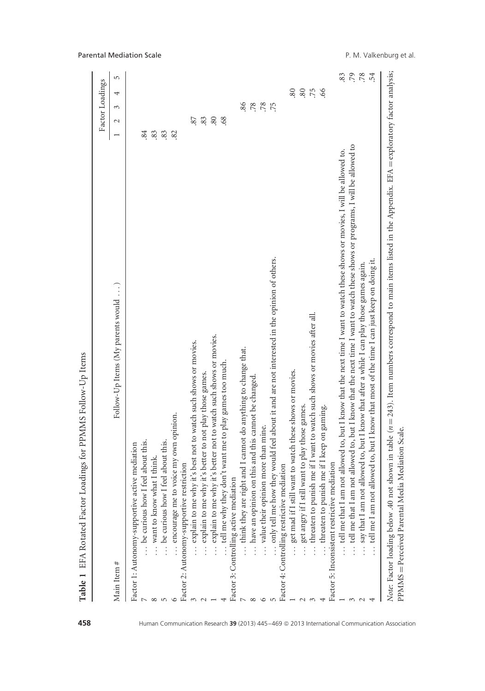|                                                                                                                                                                                                                      | Factor Loadings  |
|----------------------------------------------------------------------------------------------------------------------------------------------------------------------------------------------------------------------|------------------|
| $\overline{a}$<br>Follow-Up Items (My parents would )<br>Main Item #                                                                                                                                                 | 5<br>4<br>3<br>2 |
| Factor 1: Autonomy-supportive active mediation                                                                                                                                                                       |                  |
| be curious how I feel about this.                                                                                                                                                                                    | 84               |
| .83<br>want to know what I think.                                                                                                                                                                                    |                  |
| .83<br>be curious how I feel about this.                                                                                                                                                                             |                  |
| .82<br>encourage me to voice my own opinion.                                                                                                                                                                         |                  |
| Factor 2: Autonomy-supportive restriction                                                                                                                                                                            |                  |
| explain to me why it's best not to watch such shows or movies.                                                                                                                                                       | 87               |
| explain to me why it's better to not play those games.                                                                                                                                                               | .83              |
| explain to me why it's better not to watch such shows or movies.                                                                                                                                                     | $\overline{.80}$ |
| tell me why they don't want me to play games too much.                                                                                                                                                               | 68               |
| Factor 3: Controlling active mediation                                                                                                                                                                               |                  |
| think they are right and I cannot do anything to change that.                                                                                                                                                        | 86               |
| have an opinion on this and this cannot be changed.                                                                                                                                                                  | .78              |
| value their opinion more than mine.                                                                                                                                                                                  | .78              |
| only tell me how they would feel about it and are not interested in the opinion of others.                                                                                                                           | .75              |
| Factor 4: Controlling restrictive mediation                                                                                                                                                                          |                  |
| want to watch these shows or movies.<br>$\ldots\,$ get mad if I still                                                                                                                                                | 80               |
| get angry if I still want to play those games.                                                                                                                                                                       | $\overline{80}$  |
| threaten to punish me if I want to watch such shows or movies after all.                                                                                                                                             | .75              |
| threaten to punish me if I keep on gaming.                                                                                                                                                                           | 66               |
| Factor 5: Inconsistent restrictive mediation                                                                                                                                                                         |                  |
| tell me that I am not allowed to, but I know that the next time I want to watch these shows or movies, I will be allowed to.                                                                                         | 83               |
| tell me that I am not allowed to, but I know that the next time I want to watch these shows or programs, I will be allowed to                                                                                        | .79              |
| . say that I am not allowed to, but I know that after a while I can play those games again.                                                                                                                          | .78              |
| allowed to, but I know that most of the time I can just keep on doing it.<br>tell me I am not                                                                                                                        | 54               |
| Note: Factor loading below .40 not shown in table ( $n=243$ ). Item numbers correspond to main items listed in the Appendix. EFA = exploratory factor analysis;<br>PPMMS = Perceived Parental Media Mediation Scale. |                  |

Table 1 EFA Rotated Factor Loadings for PPMMS Follow-Up Items

**458** Human Communication Research **39** (2013) 445–469 © 2013 International Communication Association

Parental Mediation Scale **P. M. Valkenburg et al.** P. M. Valkenburg et al.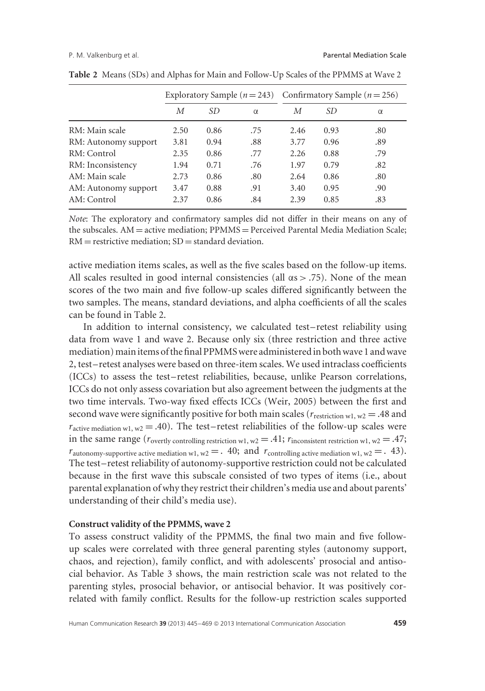|                      |      |           |          | Exploratory Sample ( $n = 243$ ) Confirmatory Sample ( $n = 256$ ) |      |          |
|----------------------|------|-----------|----------|--------------------------------------------------------------------|------|----------|
|                      | М    | <i>SD</i> | $\alpha$ | М                                                                  | SD   | $\alpha$ |
| RM: Main scale       | 2.50 | 0.86      | .75      | 2.46                                                               | 0.93 | .80      |
| RM: Autonomy support | 3.81 | 0.94      | .88      | 3.77                                                               | 0.96 | .89      |
| RM: Control          | 2.35 | 0.86      | .77      | 2.26                                                               | 0.88 | .79      |
| RM: Inconsistency    | 1.94 | 0.71      | .76      | 1.97                                                               | 0.79 | .82      |
| AM: Main scale       | 2.73 | 0.86      | .80      | 2.64                                                               | 0.86 | .80      |
| AM: Autonomy support | 3.47 | 0.88      | .91      | 3.40                                                               | 0.95 | .90      |
| AM: Control          | 2.37 | 0.86      | .84      | 2.39                                                               | 0.85 | .83      |

**Table 2** Means (SDs) and Alphas for Main and Follow-Up Scales of the PPMMS at Wave 2

*Note*: The exploratory and confirmatory samples did not differ in their means on any of the subscales.  $AM =$  active mediation;  $PPMMS =$  Perceived Parental Media Mediation Scale;  $RM =$  restrictive mediation;  $SD =$  standard deviation.

active mediation items scales, as well as the five scales based on the follow-up items. All scales resulted in good internal consistencies (all αs *>* .75). None of the mean scores of the two main and five follow-up scales differed significantly between the two samples. The means, standard deviations, and alpha coefficients of all the scales can be found in Table 2.

In addition to internal consistency, we calculated test–retest reliability using data from wave 1 and wave 2. Because only six (three restriction and three active mediation) main items of the final PPMMS were administered in both wave 1 and wave 2, test–retest analyses were based on three-item scales. We used intraclass coefficients (ICCs) to assess the test–retest reliabilities, because, unlike Pearson correlations, ICCs do not only assess covariation but also agreement between the judgments at the two time intervals. Two-way fixed effects ICCs (Weir, 2005) between the first and second wave were significantly positive for both main scales ( $r_{\text{restriction w1, w2}} = .48$  and  $r_{\text{active~medium~wl, w2}} = .40$ ). The test–retest reliabilities of the follow-up scales were in the same range ( $r_{\text{overfly controlling restriction w1, w2}} = .41$ ;  $r_{\text{inconsistent restriction w1, w2}} = .47$ ;  $r_{\text{automy-supportive active median w1, w2}} = .40; \text{ and } r_{\text{controlling active median w1, w2}} = .43).$ The test–retest reliability of autonomy-supportive restriction could not be calculated because in the first wave this subscale consisted of two types of items (i.e., about parental explanation of why they restrict their children's media use and about parents' understanding of their child's media use).

#### **Construct validity of the PPMMS, wave 2**

To assess construct validity of the PPMMS, the final two main and five followup scales were correlated with three general parenting styles (autonomy support, chaos, and rejection), family conflict, and with adolescents' prosocial and antisocial behavior. As Table 3 shows, the main restriction scale was not related to the parenting styles, prosocial behavior, or antisocial behavior. It was positively correlated with family conflict. Results for the follow-up restriction scales supported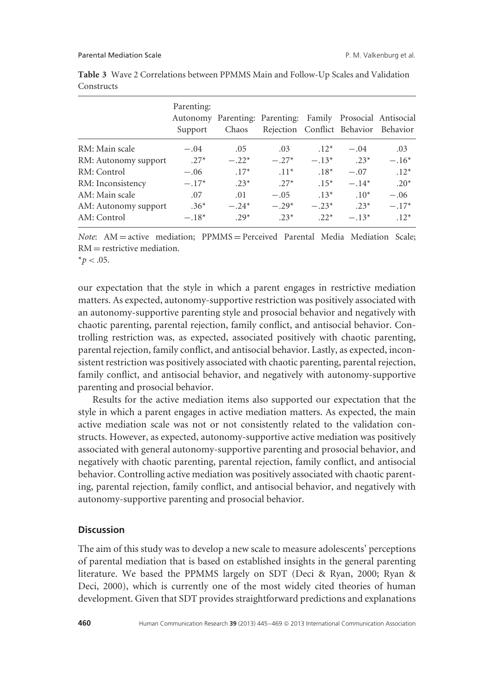|                      | Parenting:<br>Support | Chaos   | Autonomy Parenting: Parenting: Family Prosocial Antisocial<br>Rejection Conflict Behavior Behavior |         |         |         |
|----------------------|-----------------------|---------|----------------------------------------------------------------------------------------------------|---------|---------|---------|
| RM: Main scale       | $-.04$                | .05     | .03                                                                                                | $12*$   | $-.04$  | .03     |
| RM: Autonomy support | $.27*$                | $-.22*$ | $-.27*$                                                                                            | $-.13*$ | $.23*$  | $-.16*$ |
| RM: Control          | $-.06$                | $.17*$  | $.11*$                                                                                             | $.18*$  | $-.07$  | $.12*$  |
| RM: Inconsistency    | $-.17*$               | $.23*$  | $.27*$                                                                                             | $.15*$  | $-.14*$ | $.20*$  |
| AM: Main scale       | .07                   | .01     | $-.05$                                                                                             | $.13*$  | $.10*$  | $-.06$  |
| AM: Autonomy support | $.36*$                | $-.24*$ | $-.29*$                                                                                            | $-.23*$ | $.23*$  | $-.17*$ |
| AM: Control          | $-.18*$               | $.29*$  | $.23*$                                                                                             | $.22*$  | $-.13*$ | $.12*$  |

**Table 3** Wave 2 Correlations between PPMMS Main and Follow-Up Scales and Validation **Constructs** 

*Note*: AM = active mediation; PPMMS = Perceived Parental Media Mediation Scale; RM = restrictive mediation.

 $*$ *p* < .05.

our expectation that the style in which a parent engages in restrictive mediation matters. As expected, autonomy-supportive restriction was positively associated with an autonomy-supportive parenting style and prosocial behavior and negatively with chaotic parenting, parental rejection, family conflict, and antisocial behavior. Controlling restriction was, as expected, associated positively with chaotic parenting, parental rejection, family conflict, and antisocial behavior. Lastly, as expected, inconsistent restriction was positively associated with chaotic parenting, parental rejection, family conflict, and antisocial behavior, and negatively with autonomy-supportive parenting and prosocial behavior.

Results for the active mediation items also supported our expectation that the style in which a parent engages in active mediation matters. As expected, the main active mediation scale was not or not consistently related to the validation constructs. However, as expected, autonomy-supportive active mediation was positively associated with general autonomy-supportive parenting and prosocial behavior, and negatively with chaotic parenting, parental rejection, family conflict, and antisocial behavior. Controlling active mediation was positively associated with chaotic parenting, parental rejection, family conflict, and antisocial behavior, and negatively with autonomy-supportive parenting and prosocial behavior.

#### **Discussion**

The aim of this study was to develop a new scale to measure adolescents' perceptions of parental mediation that is based on established insights in the general parenting literature. We based the PPMMS largely on SDT (Deci & Ryan, 2000; Ryan & Deci, 2000), which is currently one of the most widely cited theories of human development. Given that SDT provides straightforward predictions and explanations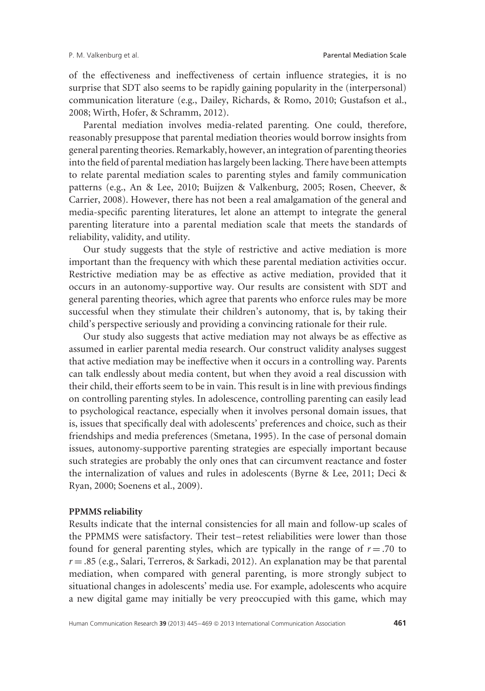of the effectiveness and ineffectiveness of certain influence strategies, it is no surprise that SDT also seems to be rapidly gaining popularity in the (interpersonal) communication literature (e.g., Dailey, Richards, & Romo, 2010; Gustafson et al., 2008; Wirth, Hofer, & Schramm, 2012).

Parental mediation involves media-related parenting. One could, therefore, reasonably presuppose that parental mediation theories would borrow insights from general parenting theories. Remarkably, however, an integration of parenting theories into the field of parental mediation has largely been lacking. There have been attempts to relate parental mediation scales to parenting styles and family communication patterns (e.g., An & Lee, 2010; Buijzen & Valkenburg, 2005; Rosen, Cheever, & Carrier, 2008). However, there has not been a real amalgamation of the general and media-specific parenting literatures, let alone an attempt to integrate the general parenting literature into a parental mediation scale that meets the standards of reliability, validity, and utility.

Our study suggests that the style of restrictive and active mediation is more important than the frequency with which these parental mediation activities occur. Restrictive mediation may be as effective as active mediation, provided that it occurs in an autonomy-supportive way. Our results are consistent with SDT and general parenting theories, which agree that parents who enforce rules may be more successful when they stimulate their children's autonomy, that is, by taking their child's perspective seriously and providing a convincing rationale for their rule.

Our study also suggests that active mediation may not always be as effective as assumed in earlier parental media research. Our construct validity analyses suggest that active mediation may be ineffective when it occurs in a controlling way. Parents can talk endlessly about media content, but when they avoid a real discussion with their child, their efforts seem to be in vain. This result is in line with previous findings on controlling parenting styles. In adolescence, controlling parenting can easily lead to psychological reactance, especially when it involves personal domain issues, that is, issues that specifically deal with adolescents' preferences and choice, such as their friendships and media preferences (Smetana, 1995). In the case of personal domain issues, autonomy-supportive parenting strategies are especially important because such strategies are probably the only ones that can circumvent reactance and foster the internalization of values and rules in adolescents (Byrne & Lee, 2011; Deci & Ryan, 2000; Soenens et al., 2009).

#### **PPMMS reliability**

Results indicate that the internal consistencies for all main and follow-up scales of the PPMMS were satisfactory. Their test–retest reliabilities were lower than those found for general parenting styles, which are typically in the range of  $r = .70$  to *r* = .85 (e.g., Salari, Terreros, & Sarkadi, 2012). An explanation may be that parental mediation, when compared with general parenting, is more strongly subject to situational changes in adolescents' media use. For example, adolescents who acquire a new digital game may initially be very preoccupied with this game, which may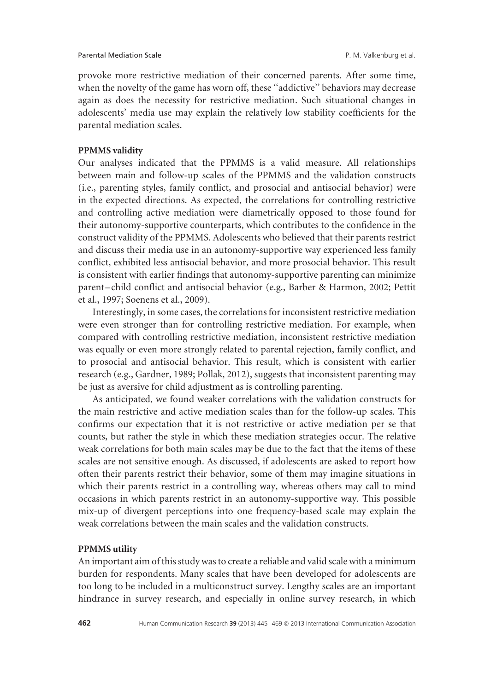provoke more restrictive mediation of their concerned parents. After some time, when the novelty of the game has worn off, these ''addictive'' behaviors may decrease again as does the necessity for restrictive mediation. Such situational changes in adolescents' media use may explain the relatively low stability coefficients for the parental mediation scales.

#### **PPMMS validity**

Our analyses indicated that the PPMMS is a valid measure. All relationships between main and follow-up scales of the PPMMS and the validation constructs (i.e., parenting styles, family conflict, and prosocial and antisocial behavior) were in the expected directions. As expected, the correlations for controlling restrictive and controlling active mediation were diametrically opposed to those found for their autonomy-supportive counterparts, which contributes to the confidence in the construct validity of the PPMMS. Adolescents who believed that their parents restrict and discuss their media use in an autonomy-supportive way experienced less family conflict, exhibited less antisocial behavior, and more prosocial behavior. This result is consistent with earlier findings that autonomy-supportive parenting can minimize parent–child conflict and antisocial behavior (e.g., Barber & Harmon, 2002; Pettit et al., 1997; Soenens et al., 2009).

Interestingly, in some cases, the correlations for inconsistent restrictive mediation were even stronger than for controlling restrictive mediation. For example, when compared with controlling restrictive mediation, inconsistent restrictive mediation was equally or even more strongly related to parental rejection, family conflict, and to prosocial and antisocial behavior. This result, which is consistent with earlier research (e.g., Gardner, 1989; Pollak, 2012), suggests that inconsistent parenting may be just as aversive for child adjustment as is controlling parenting.

As anticipated, we found weaker correlations with the validation constructs for the main restrictive and active mediation scales than for the follow-up scales. This confirms our expectation that it is not restrictive or active mediation per se that counts, but rather the style in which these mediation strategies occur. The relative weak correlations for both main scales may be due to the fact that the items of these scales are not sensitive enough. As discussed, if adolescents are asked to report how often their parents restrict their behavior, some of them may imagine situations in which their parents restrict in a controlling way, whereas others may call to mind occasions in which parents restrict in an autonomy-supportive way. This possible mix-up of divergent perceptions into one frequency-based scale may explain the weak correlations between the main scales and the validation constructs.

#### **PPMMS utility**

An important aim of this study was to create a reliable and valid scale with a minimum burden for respondents. Many scales that have been developed for adolescents are too long to be included in a multiconstruct survey. Lengthy scales are an important hindrance in survey research, and especially in online survey research, in which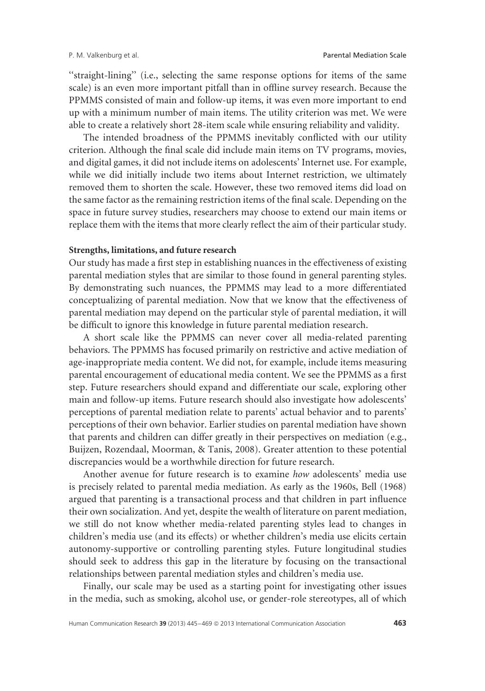''straight-lining'' (i.e., selecting the same response options for items of the same scale) is an even more important pitfall than in offline survey research. Because the PPMMS consisted of main and follow-up items, it was even more important to end up with a minimum number of main items. The utility criterion was met. We were able to create a relatively short 28-item scale while ensuring reliability and validity.

The intended broadness of the PPMMS inevitably conflicted with our utility criterion. Although the final scale did include main items on TV programs, movies, and digital games, it did not include items on adolescents' Internet use. For example, while we did initially include two items about Internet restriction, we ultimately removed them to shorten the scale. However, these two removed items did load on the same factor as the remaining restriction items of the final scale. Depending on the space in future survey studies, researchers may choose to extend our main items or replace them with the items that more clearly reflect the aim of their particular study.

#### **Strengths, limitations, and future research**

Our study has made a first step in establishing nuances in the effectiveness of existing parental mediation styles that are similar to those found in general parenting styles. By demonstrating such nuances, the PPMMS may lead to a more differentiated conceptualizing of parental mediation. Now that we know that the effectiveness of parental mediation may depend on the particular style of parental mediation, it will be difficult to ignore this knowledge in future parental mediation research.

A short scale like the PPMMS can never cover all media-related parenting behaviors. The PPMMS has focused primarily on restrictive and active mediation of age-inappropriate media content. We did not, for example, include items measuring parental encouragement of educational media content. We see the PPMMS as a first step. Future researchers should expand and differentiate our scale, exploring other main and follow-up items. Future research should also investigate how adolescents' perceptions of parental mediation relate to parents' actual behavior and to parents' perceptions of their own behavior. Earlier studies on parental mediation have shown that parents and children can differ greatly in their perspectives on mediation (e.g., Buijzen, Rozendaal, Moorman, & Tanis, 2008). Greater attention to these potential discrepancies would be a worthwhile direction for future research.

Another avenue for future research is to examine *how* adolescents' media use is precisely related to parental media mediation. As early as the 1960s, Bell (1968) argued that parenting is a transactional process and that children in part influence their own socialization. And yet, despite the wealth of literature on parent mediation, we still do not know whether media-related parenting styles lead to changes in children's media use (and its effects) or whether children's media use elicits certain autonomy-supportive or controlling parenting styles. Future longitudinal studies should seek to address this gap in the literature by focusing on the transactional relationships between parental mediation styles and children's media use.

Finally, our scale may be used as a starting point for investigating other issues in the media, such as smoking, alcohol use, or gender-role stereotypes, all of which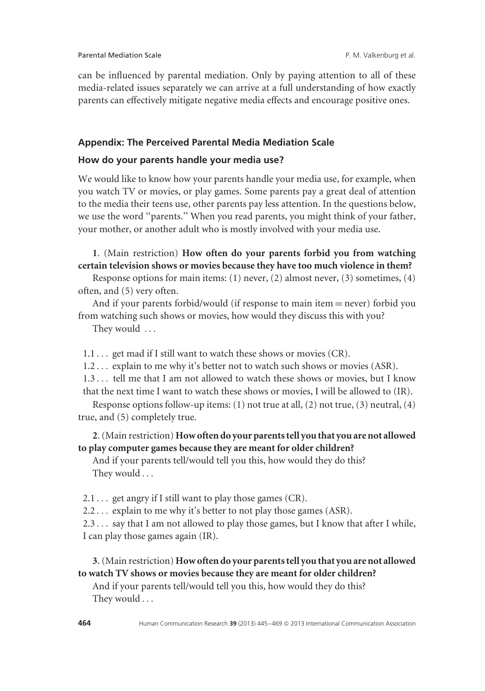can be influenced by parental mediation. Only by paying attention to all of these media-related issues separately we can arrive at a full understanding of how exactly parents can effectively mitigate negative media effects and encourage positive ones.

# **Appendix: The Perceived Parental Media Mediation Scale**

## **How do your parents handle your media use?**

We would like to know how your parents handle your media use, for example, when you watch TV or movies, or play games. Some parents pay a great deal of attention to the media their teens use, other parents pay less attention. In the questions below, we use the word ''parents.'' When you read parents, you might think of your father, your mother, or another adult who is mostly involved with your media use.

# **1**. (Main restriction) **How often do your parents forbid you from watching certain television shows or movies because they have too much violence in them?**

Response options for main items: (1) never, (2) almost never, (3) sometimes, (4) often, and (5) very often.

And if your parents forbid/would (if response to main item  $=$  never) forbid you from watching such shows or movies, how would they discuss this with you?

They would *...*

1.1 *...* get mad if I still want to watch these shows or movies (CR).

1.2 *...* explain to me why it's better not to watch such shows or movies (ASR).

1.3 *...* tell me that I am not allowed to watch these shows or movies, but I know that the next time I want to watch these shows or movies, I will be allowed to (IR).

Response options follow-up items: (1) not true at all, (2) not true, (3) neutral, (4) true, and (5) completely true.

# **2**. (Main restriction) **How often do your parents tell you that you are not allowed to play computer games because they are meant for older children?**

And if your parents tell/would tell you this, how would they do this? They would *...*

2.1 *...* get angry if I still want to play those games (CR).

2.2 *...* explain to me why it's better to not play those games (ASR).

2.3 *...* say that I am not allowed to play those games, but I know that after I while, I can play those games again (IR).

# **3**. (Main restriction) **How often do your parents tell you that you are not allowed to watch TV shows or movies because they are meant for older children?**

And if your parents tell/would tell you this, how would they do this? They would *...*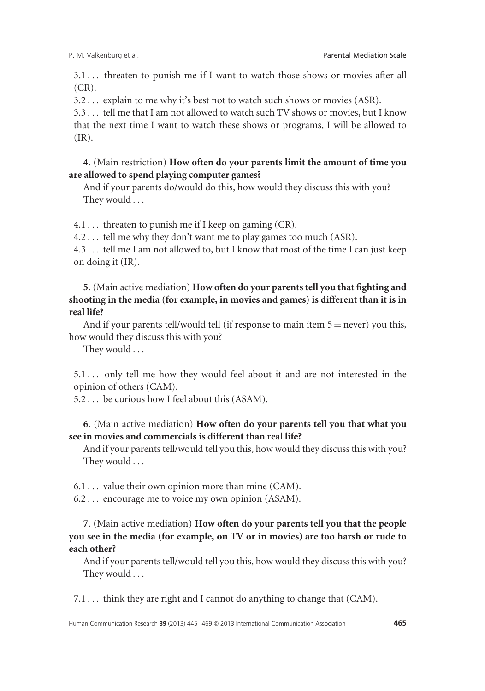3.1 *...* threaten to punish me if I want to watch those shows or movies after all  $(CR)$ .

3.2 *...* explain to me why it's best not to watch such shows or movies (ASR).

3.3 *...* tell me that I am not allowed to watch such TV shows or movies, but I know that the next time I want to watch these shows or programs, I will be allowed to (IR).

**4**. (Main restriction) **How often do your parents limit the amount of time you are allowed to spend playing computer games?**

And if your parents do/would do this, how would they discuss this with you? They would *...*

4.1 *...* threaten to punish me if I keep on gaming (CR).

4.2 *...* tell me why they don't want me to play games too much (ASR).

4.3 *...* tell me I am not allowed to, but I know that most of the time I can just keep on doing it (IR).

**5**. (Main active mediation) **How often do your parents tell you that fighting and shooting in the media (for example, in movies and games) is different than it is in real life?**

And if your parents tell/would tell (if response to main item  $5 =$  never) you this, how would they discuss this with you?

They would *...*

5.1 *...* only tell me how they would feel about it and are not interested in the opinion of others (CAM).

5.2 *...* be curious how I feel about this (ASAM).

**6**. (Main active mediation) **How often do your parents tell you that what you see in movies and commercials is different than real life?**

And if your parents tell/would tell you this, how would they discuss this with you? They would *...*

6.1 *...* value their own opinion more than mine (CAM).

6.2 *...* encourage me to voice my own opinion (ASAM).

**7**. (Main active mediation) **How often do your parents tell you that the people you see in the media (for example, on TV or in movies) are too harsh or rude to each other?**

And if your parents tell/would tell you this, how would they discuss this with you? They would *...*

7.1 *...* think they are right and I cannot do anything to change that (CAM).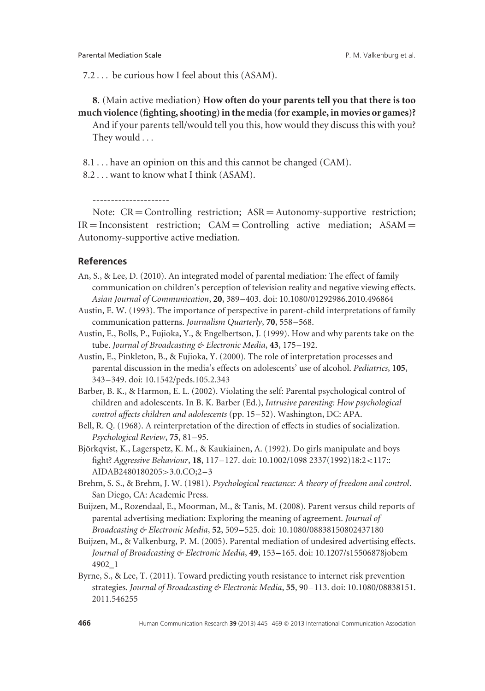Parental Mediation Scale **P. M. Valkenburg et al.** P. M. Valkenburg et al.

7.2 *...* be curious how I feel about this (ASAM).

**8**. (Main active mediation) **How often do your parents tell you that there is too much violence (fighting, shooting) in the media (for example, in movies or games)?**

And if your parents tell/would tell you this, how would they discuss this with you? They would *...*

8.1 *...* have an opinion on this and this cannot be changed (CAM).

8.2 *...*want to know what I think (ASAM).

---------------------

Note:  $CR =$  Controlling restriction;  $ASR =$  Autonomy-supportive restriction;  $IR = Inconsistent$  restriction;  $CAM = Controlling$  active mediation;  $ASAM =$ Autonomy-supportive active mediation.

### **References**

- An, S., & Lee, D. (2010). An integrated model of parental mediation: The effect of family communication on children's perception of television reality and negative viewing effects. *Asian Journal of Communication*, **20**, 389–403. doi: 10.1080/01292986.2010.496864
- Austin, E. W. (1993). The importance of perspective in parent-child interpretations of family communication patterns. *Journalism Quarterly*, **70**, 558–568.
- Austin, E., Bolls, P., Fujioka, Y., & Engelbertson, J. (1999). How and why parents take on the tube. *Journal of Broadcasting & Electronic Media*, **43**, 175–192.
- Austin, E., Pinkleton, B., & Fujioka, Y. (2000). The role of interpretation processes and parental discussion in the media's effects on adolescents' use of alcohol. *Pediatrics*, **105**, 343–349. doi: 10.1542/peds.105.2.343
- Barber, B. K., & Harmon, E. L. (2002). Violating the self: Parental psychological control of children and adolescents. In B. K. Barber (Ed.), *Intrusive parenting: How psychological control affects children and adolescents* (pp. 15–52). Washington, DC: APA.
- Bell, R. Q. (1968). A reinterpretation of the direction of effects in studies of socialization. *Psychological Review*, **75**, 81–95.
- Bjorkqvist, K., Lagerspetz, K. M., & Kaukiainen, A. (1992). Do girls manipulate and boys ¨ fight? *Aggressive Behaviour*, **18**, 117–127. doi: 10.1002/1098 2337(1992)18:2*<*117:: AIDAB2480180205*>*3.0.CO;2–3
- Brehm, S. S., & Brehm, J. W. (1981). *Psychological reactance: A theory of freedom and control*. San Diego, CA: Academic Press.
- Buijzen, M., Rozendaal, E., Moorman, M., & Tanis, M. (2008). Parent versus child reports of parental advertising mediation: Exploring the meaning of agreement. *Journal of Broadcasting & Electronic Media*, **52**, 509–525. doi: 10.1080/08838150802437180
- Buijzen, M., & Valkenburg, P. M. (2005). Parental mediation of undesired advertising effects. *Journal of Broadcasting & Electronic Media*, **49**, 153–165. doi: 10.1207/s15506878jobem 4902\_1
- Byrne, S., & Lee, T. (2011). Toward predicting youth resistance to internet risk prevention strategies. *Journal of Broadcasting & Electronic Media*, **55**, 90–113. doi: 10.1080/08838151. 2011.546255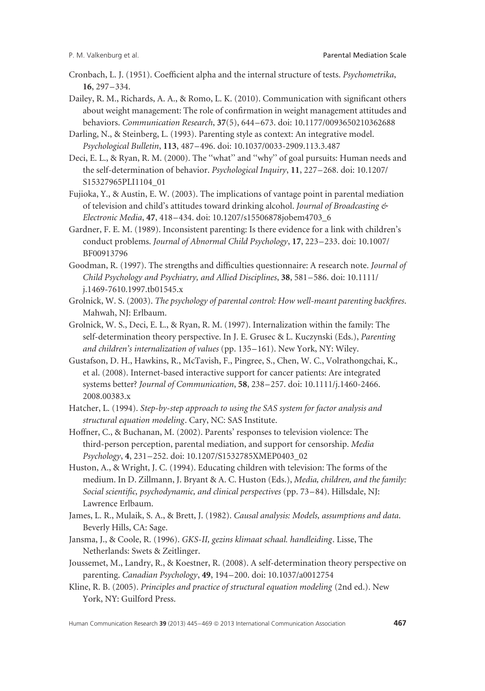- Cronbach, L. J. (1951). Coefficient alpha and the internal structure of tests. *Psychometrika*, **16**, 297–334.
- Dailey, R. M., Richards, A. A., & Romo, L. K. (2010). Communication with significant others about weight management: The role of confirmation in weight management attitudes and behaviors. *Communication Research*, **37**(5), 644–673. doi: 10.1177/0093650210362688
- Darling, N., & Steinberg, L. (1993). Parenting style as context: An integrative model. *Psychological Bulletin*, **113**, 487–496. doi: 10.1037/0033-2909.113.3.487
- Deci, E. L., & Ryan, R. M. (2000). The ''what'' and ''why'' of goal pursuits: Human needs and the self-determination of behavior. *Psychological Inquiry*, **11**, 227–268. doi: 10.1207/ S15327965PLI1104\_01
- Fujioka, Y., & Austin, E. W. (2003). The implications of vantage point in parental mediation of television and child's attitudes toward drinking alcohol. *Journal of Broadcasting & Electronic Media*, **47**, 418–434. doi: 10.1207/s15506878jobem4703\_6
- Gardner, F. E. M. (1989). Inconsistent parenting: Is there evidence for a link with children's conduct problems. *Journal of Abnormal Child Psychology*, **17**, 223–233. doi: 10.1007/ BF00913796
- Goodman, R. (1997). The strengths and difficulties questionnaire: A research note. *Journal of Child Psychology and Psychiatry, and Allied Disciplines*, **38**, 581–586. doi: 10.1111/ j.1469-7610.1997.tb01545.x
- Grolnick, W. S. (2003). *The psychology of parental control: How well-meant parenting backfires*. Mahwah, NJ: Erlbaum.
- Grolnick, W. S., Deci, E. L., & Ryan, R. M. (1997). Internalization within the family: The self-determination theory perspective. In J. E. Grusec & L. Kuczynski (Eds.), *Parenting and children's internalization of values* (pp. 135–161). New York, NY: Wiley.
- Gustafson, D. H., Hawkins, R., McTavish, F., Pingree, S., Chen, W. C., Volrathongchai, K., et al. (2008). Internet-based interactive support for cancer patients: Are integrated systems better? *Journal of Communication*, **58**, 238–257. doi: 10.1111/j.1460-2466. 2008.00383.x
- Hatcher, L. (1994). *Step-by-step approach to using the SAS system for factor analysis and structural equation modeling*. Cary, NC: SAS Institute.
- Hoffner, C., & Buchanan, M. (2002). Parents' responses to television violence: The third-person perception, parental mediation, and support for censorship. *Media Psychology*, **4**, 231–252. doi: 10.1207/S1532785XMEP0403\_02
- Huston, A., & Wright, J. C. (1994). Educating children with television: The forms of the medium. In D. Zillmann, J. Bryant & A. C. Huston (Eds.), *Media, children, and the family: Social scientific, psychodynamic, and clinical perspectives* (pp. 73–84). Hillsdale, NJ: Lawrence Erlbaum.
- James, L. R., Mulaik, S. A., & Brett, J. (1982). *Causal analysis: Models, assumptions and data*. Beverly Hills, CA: Sage.
- Jansma, J., & Coole, R. (1996). *GKS-II, gezins klimaat schaal. handleiding*. Lisse, The Netherlands: Swets & Zeitlinger.
- Joussemet, M., Landry, R., & Koestner, R. (2008). A self-determination theory perspective on parenting. *Canadian Psychology*, **49**, 194–200. doi: 10.1037/a0012754
- Kline, R. B. (2005). *Principles and practice of structural equation modeling* (2nd ed.). New York, NY: Guilford Press.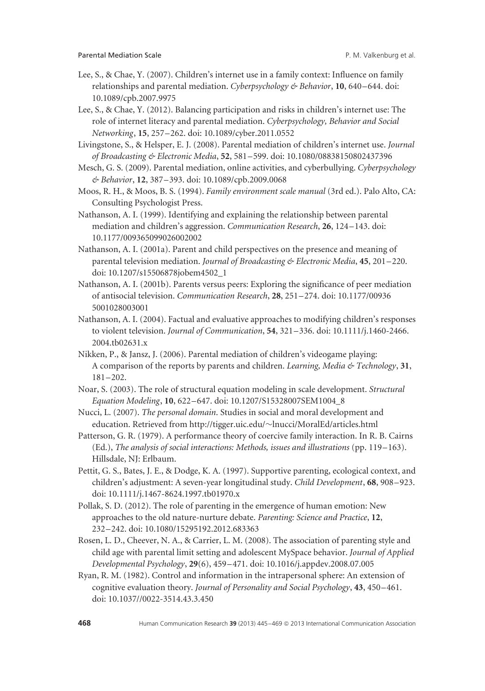- Lee, S., & Chae, Y. (2007). Children's internet use in a family context: Influence on family relationships and parental mediation. *Cyberpsychology & Behavior*, **10**, 640–644. doi: 10.1089/cpb.2007.9975
- Lee, S., & Chae, Y. (2012). Balancing participation and risks in children's internet use: The role of internet literacy and parental mediation. *Cyberpsychology, Behavior and Social Networking*, **15**, 257–262. doi: 10.1089/cyber.2011.0552
- Livingstone, S., & Helsper, E. J. (2008). Parental mediation of children's internet use. *Journal of Broadcasting & Electronic Media*, **52**, 581–599. doi: 10.1080/08838150802437396
- Mesch, G. S. (2009). Parental mediation, online activities, and cyberbullying. *Cyberpsychology & Behavior*, **12**, 387–393. doi: 10.1089/cpb.2009.0068

Moos, R. H., & Moos, B. S. (1994). *Family environment scale manual* (3rd ed.). Palo Alto, CA: Consulting Psychologist Press.

- Nathanson, A. I. (1999). Identifying and explaining the relationship between parental mediation and children's aggression. *Communication Research*, **26**, 124–143. doi: 10.1177/009365099026002002
- Nathanson, A. I. (2001a). Parent and child perspectives on the presence and meaning of parental television mediation. *Journal of Broadcasting & Electronic Media*, **45**, 201–220. doi: 10.1207/s15506878jobem4502\_1
- Nathanson, A. I. (2001b). Parents versus peers: Exploring the significance of peer mediation of antisocial television. *Communication Research*, **28**, 251–274. doi: 10.1177/00936 5001028003001
- Nathanson, A. I. (2004). Factual and evaluative approaches to modifying children's responses to violent television. *Journal of Communication*, **54**, 321–336. doi: 10.1111/j.1460-2466. 2004.tb02631.x
- Nikken, P., & Jansz, J. (2006). Parental mediation of children's videogame playing: A comparison of the reports by parents and children. *Learning, Media & Technology*, **31**, 181–202.
- Noar, S. (2003). The role of structural equation modeling in scale development. *Structural Equation Modeling*, **10**, 622–647. doi: 10.1207/S15328007SEM1004\_8
- Nucci, L. (2007). *The personal domain*. Studies in social and moral development and education. Retrieved from http://tigger.uic.edu/∼lnucci/MoralEd/articles.html
- Patterson, G. R. (1979). A performance theory of coercive family interaction. In R. B. Cairns (Ed.), *The analysis of social interactions: Methods, issues and illustrations* (pp. 119–163). Hillsdale, NJ: Erlbaum.
- Pettit, G. S., Bates, J. E., & Dodge, K. A. (1997). Supportive parenting, ecological context, and children's adjustment: A seven-year longitudinal study. *Child Development*, **68**, 908–923. doi: 10.1111/j.1467-8624.1997.tb01970.x
- Pollak, S. D. (2012). The role of parenting in the emergence of human emotion: New approaches to the old nature-nurture debate. *Parenting: Science and Practice*, **12**, 232–242. doi: 10.1080/15295192.2012.683363
- Rosen, L. D., Cheever, N. A., & Carrier, L. M. (2008). The association of parenting style and child age with parental limit setting and adolescent MySpace behavior. *Journal of Applied Developmental Psychology*, **29**(6), 459–471. doi: 10.1016/j.appdev.2008.07.005
- Ryan, R. M. (1982). Control and information in the intrapersonal sphere: An extension of cognitive evaluation theory. *Journal of Personality and Social Psychology*, **43**, 450–461. doi: 10.1037//0022-3514.43.3.450